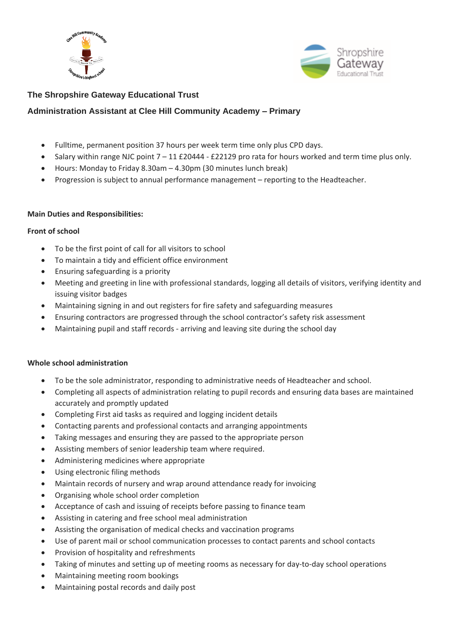



## **The Shropshire Gateway Educational Trust**

## **Administration Assistant at Clee Hill Community Academy – Primary**

- Fulltime, permanent position 37 hours per week term time only plus CPD days.
- Salary within range NJC point 7 11 £20444 £22129 pro rata for hours worked and term time plus only.
- Hours: Monday to Friday 8.30am 4.30pm (30 minutes lunch break)
- Progression is subject to annual performance management reporting to the Headteacher.

#### **Main Duties and Responsibilities:**

#### **Front of school**

- To be the first point of call for all visitors to school
- To maintain a tidy and efficient office environment
- Ensuring safeguarding is a priority
- Meeting and greeting in line with professional standards, logging all details of visitors, verifying identity and issuing visitor badges
- Maintaining signing in and out registers for fire safety and safeguarding measures
- Ensuring contractors are progressed through the school contractor's safety risk assessment
- Maintaining pupil and staff records arriving and leaving site during the school day

#### **Whole school administration**

- To be the sole administrator, responding to administrative needs of Headteacher and school.
- Completing all aspects of administration relating to pupil records and ensuring data bases are maintained accurately and promptly updated
- Completing First aid tasks as required and logging incident details
- Contacting parents and professional contacts and arranging appointments
- Taking messages and ensuring they are passed to the appropriate person
- Assisting members of senior leadership team where required.
- Administering medicines where appropriate
- Using electronic filing methods
- Maintain records of nursery and wrap around attendance ready for invoicing
- Organising whole school order completion
- Acceptance of cash and issuing of receipts before passing to finance team
- Assisting in catering and free school meal administration
- Assisting the organisation of medical checks and vaccination programs
- Use of parent mail or school communication processes to contact parents and school contacts
- Provision of hospitality and refreshments
- Taking of minutes and setting up of meeting rooms as necessary for day-to-day school operations
- Maintaining meeting room bookings
- Maintaining postal records and daily post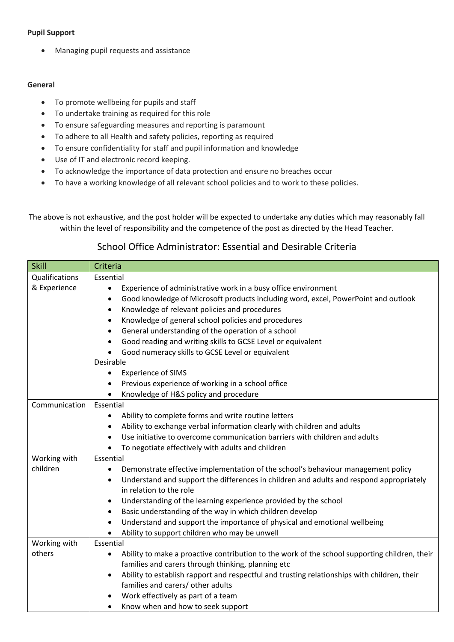### **Pupil Support**

• Managing pupil requests and assistance

#### **General**

- To promote wellbeing for pupils and staff
- To undertake training as required for this role
- To ensure safeguarding measures and reporting is paramount
- To adhere to all Health and safety policies, reporting as required
- To ensure confidentiality for staff and pupil information and knowledge
- Use of IT and electronic record keeping.
- To acknowledge the importance of data protection and ensure no breaches occur
- To have a working knowledge of all relevant school policies and to work to these policies.

The above is not exhaustive, and the post holder will be expected to undertake any duties which may reasonably fall within the level of responsibility and the competence of the post as directed by the Head Teacher.

# School Office Administrator: Essential and Desirable Criteria

| <b>Skill</b>   | Criteria                                                                                                   |
|----------------|------------------------------------------------------------------------------------------------------------|
| Qualifications | Essential                                                                                                  |
| & Experience   | Experience of administrative work in a busy office environment<br>$\bullet$                                |
|                | Good knowledge of Microsoft products including word, excel, PowerPoint and outlook<br>$\bullet$            |
|                | Knowledge of relevant policies and procedures<br>$\bullet$                                                 |
|                | Knowledge of general school policies and procedures<br>$\bullet$                                           |
|                | General understanding of the operation of a school<br>٠                                                    |
|                | Good reading and writing skills to GCSE Level or equivalent                                                |
|                | Good numeracy skills to GCSE Level or equivalent<br>$\bullet$                                              |
|                | Desirable                                                                                                  |
|                | <b>Experience of SIMS</b><br>$\bullet$                                                                     |
|                | Previous experience of working in a school office<br>$\bullet$                                             |
|                | Knowledge of H&S policy and procedure<br>$\bullet$                                                         |
| Communication  | Essential                                                                                                  |
|                | Ability to complete forms and write routine letters<br>$\bullet$                                           |
|                | Ability to exchange verbal information clearly with children and adults                                    |
|                | Use initiative to overcome communication barriers with children and adults<br>$\bullet$                    |
|                | To negotiate effectively with adults and children                                                          |
| Working with   | Essential                                                                                                  |
| children       | Demonstrate effective implementation of the school's behaviour management policy<br>$\bullet$              |
|                | Understand and support the differences in children and adults and respond appropriately<br>$\bullet$       |
|                | in relation to the role                                                                                    |
|                | Understanding of the learning experience provided by the school                                            |
|                | Basic understanding of the way in which children develop<br>$\bullet$                                      |
|                | Understand and support the importance of physical and emotional wellbeing<br>$\bullet$                     |
|                | Ability to support children who may be unwell                                                              |
| Working with   | Essential                                                                                                  |
| others         | Ability to make a proactive contribution to the work of the school supporting children, their<br>$\bullet$ |
|                | families and carers through thinking, planning etc                                                         |
|                | Ability to establish rapport and respectful and trusting relationships with children, their                |
|                | families and carers/ other adults                                                                          |
|                | Work effectively as part of a team                                                                         |
|                | Know when and how to seek support<br>$\bullet$                                                             |